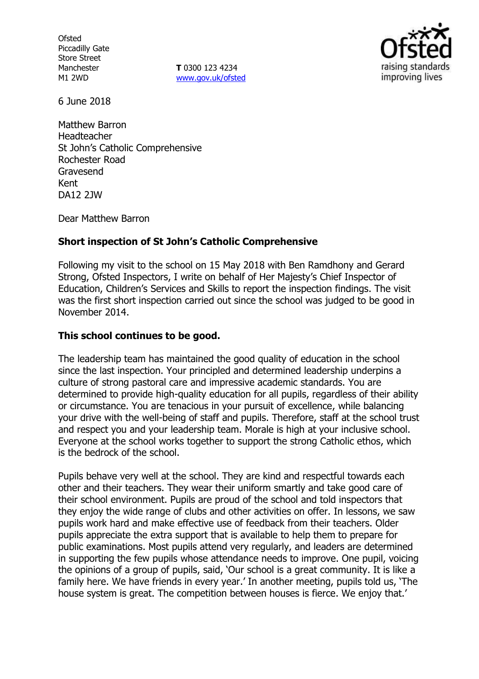**Ofsted** Piccadilly Gate Store Street Manchester M1 2WD

**T** 0300 123 4234 www.gov.uk/ofsted



6 June 2018

Matthew Barron Headteacher St John's Catholic Comprehensive Rochester Road Gravesend Kent DA12 2JW

Dear Matthew Barron

# **Short inspection of St John's Catholic Comprehensive**

Following my visit to the school on 15 May 2018 with Ben Ramdhony and Gerard Strong, Ofsted Inspectors, I write on behalf of Her Majesty's Chief Inspector of Education, Children's Services and Skills to report the inspection findings. The visit was the first short inspection carried out since the school was judged to be good in November 2014.

# **This school continues to be good.**

The leadership team has maintained the good quality of education in the school since the last inspection. Your principled and determined leadership underpins a culture of strong pastoral care and impressive academic standards. You are determined to provide high-quality education for all pupils, regardless of their ability or circumstance. You are tenacious in your pursuit of excellence, while balancing your drive with the well-being of staff and pupils. Therefore, staff at the school trust and respect you and your leadership team. Morale is high at your inclusive school. Everyone at the school works together to support the strong Catholic ethos, which is the bedrock of the school.

Pupils behave very well at the school. They are kind and respectful towards each other and their teachers. They wear their uniform smartly and take good care of their school environment. Pupils are proud of the school and told inspectors that they enjoy the wide range of clubs and other activities on offer. In lessons, we saw pupils work hard and make effective use of feedback from their teachers. Older pupils appreciate the extra support that is available to help them to prepare for public examinations. Most pupils attend very regularly, and leaders are determined in supporting the few pupils whose attendance needs to improve. One pupil, voicing the opinions of a group of pupils, said, 'Our school is a great community. It is like a family here. We have friends in every year.' In another meeting, pupils told us, 'The house system is great. The competition between houses is fierce. We enjoy that.'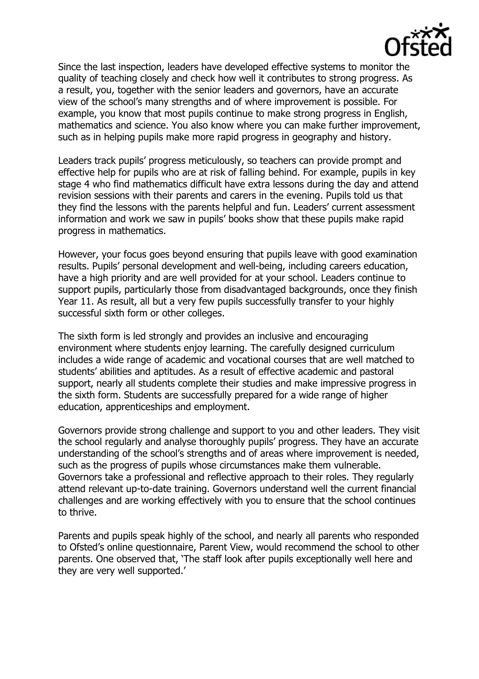

Since the last inspection, leaders have developed effective systems to monitor the quality of teaching closely and check how well it contributes to strong progress. As a result, you, together with the senior leaders and governors, have an accurate view of the school's many strengths and of where improvement is possible. For example, you know that most pupils continue to make strong progress in English, mathematics and science. You also know where you can make further improvement, such as in helping pupils make more rapid progress in geography and history.

Leaders track pupils' progress meticulously, so teachers can provide prompt and effective help for pupils who are at risk of falling behind. For example, pupils in key stage 4 who find mathematics difficult have extra lessons during the day and attend revision sessions with their parents and carers in the evening. Pupils told us that they find the lessons with the parents helpful and fun. Leaders' current assessment information and work we saw in pupils' books show that these pupils make rapid progress in mathematics.

However, your focus goes beyond ensuring that pupils leave with good examination results. Pupils' personal development and well-being, including careers education, have a high priority and are well provided for at your school. Leaders continue to support pupils, particularly those from disadvantaged backgrounds, once they finish Year 11. As result, all but a very few pupils successfully transfer to your highly successful sixth form or other colleges.

The sixth form is led strongly and provides an inclusive and encouraging environment where students enjoy learning. The carefully designed curriculum includes a wide range of academic and vocational courses that are well matched to students' abilities and aptitudes. As a result of effective academic and pastoral support, nearly all students complete their studies and make impressive progress in the sixth form. Students are successfully prepared for a wide range of higher education, apprenticeships and employment.

Governors provide strong challenge and support to you and other leaders. They visit the school regularly and analyse thoroughly pupils' progress. They have an accurate understanding of the school's strengths and of areas where improvement is needed, such as the progress of pupils whose circumstances make them vulnerable. Governors take a professional and reflective approach to their roles. They regularly attend relevant up-to-date training. Governors understand well the current financial challenges and are working effectively with you to ensure that the school continues to thrive.

Parents and pupils speak highly of the school, and nearly all parents who responded to Ofsted's online questionnaire, Parent View, would recommend the school to other parents. One observed that, 'The staff look after pupils exceptionally well here and they are very well supported.'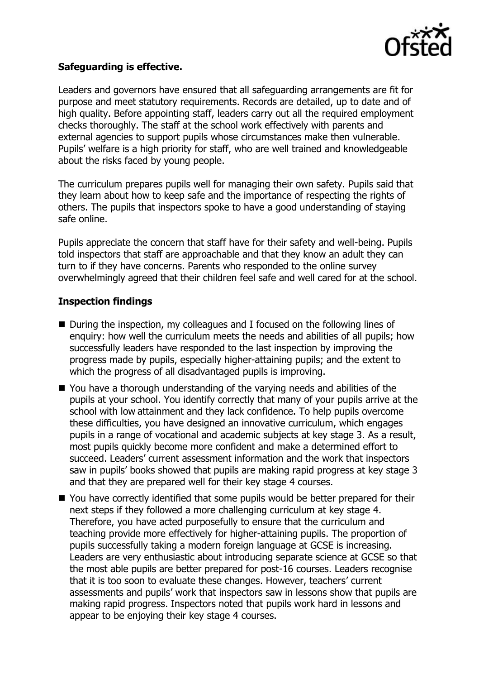

# **Safeguarding is effective.**

Leaders and governors have ensured that all safeguarding arrangements are fit for purpose and meet statutory requirements. Records are detailed, up to date and of high quality. Before appointing staff, leaders carry out all the required employment checks thoroughly. The staff at the school work effectively with parents and external agencies to support pupils whose circumstances make then vulnerable. Pupils' welfare is a high priority for staff, who are well trained and knowledgeable about the risks faced by young people.

The curriculum prepares pupils well for managing their own safety. Pupils said that they learn about how to keep safe and the importance of respecting the rights of others. The pupils that inspectors spoke to have a good understanding of staying safe online.

Pupils appreciate the concern that staff have for their safety and well-being. Pupils told inspectors that staff are approachable and that they know an adult they can turn to if they have concerns. Parents who responded to the online survey overwhelmingly agreed that their children feel safe and well cared for at the school.

# **Inspection findings**

- During the inspection, my colleagues and I focused on the following lines of enquiry: how well the curriculum meets the needs and abilities of all pupils; how successfully leaders have responded to the last inspection by improving the progress made by pupils, especially higher-attaining pupils; and the extent to which the progress of all disadvantaged pupils is improving.
- You have a thorough understanding of the varying needs and abilities of the pupils at your school. You identify correctly that many of your pupils arrive at the school with low attainment and they lack confidence. To help pupils overcome these difficulties, you have designed an innovative curriculum, which engages pupils in a range of vocational and academic subjects at key stage 3. As a result, most pupils quickly become more confident and make a determined effort to succeed. Leaders' current assessment information and the work that inspectors saw in pupils' books showed that pupils are making rapid progress at key stage 3 and that they are prepared well for their key stage 4 courses.
- You have correctly identified that some pupils would be better prepared for their next steps if they followed a more challenging curriculum at key stage 4. Therefore, you have acted purposefully to ensure that the curriculum and teaching provide more effectively for higher-attaining pupils. The proportion of pupils successfully taking a modern foreign language at GCSE is increasing. Leaders are very enthusiastic about introducing separate science at GCSE so that the most able pupils are better prepared for post-16 courses. Leaders recognise that it is too soon to evaluate these changes. However, teachers' current assessments and pupils' work that inspectors saw in lessons show that pupils are making rapid progress. Inspectors noted that pupils work hard in lessons and appear to be enjoying their key stage 4 courses.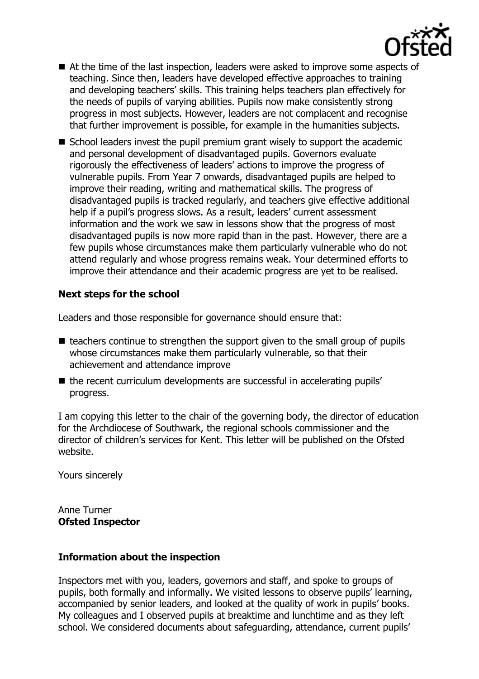

- At the time of the last inspection, leaders were asked to improve some aspects of teaching. Since then, leaders have developed effective approaches to training and developing teachers' skills. This training helps teachers plan effectively for the needs of pupils of varying abilities. Pupils now make consistently strong progress in most subjects. However, leaders are not complacent and recognise that further improvement is possible, for example in the humanities subjects.
- School leaders invest the pupil premium grant wisely to support the academic and personal development of disadvantaged pupils. Governors evaluate rigorously the effectiveness of leaders' actions to improve the progress of vulnerable pupils. From Year 7 onwards, disadvantaged pupils are helped to improve their reading, writing and mathematical skills. The progress of disadvantaged pupils is tracked regularly, and teachers give effective additional help if a pupil's progress slows. As a result, leaders' current assessment information and the work we saw in lessons show that the progress of most disadvantaged pupils is now more rapid than in the past. However, there are a few pupils whose circumstances make them particularly vulnerable who do not attend regularly and whose progress remains weak. Your determined efforts to improve their attendance and their academic progress are yet to be realised.

# **Next steps for the school**

Leaders and those responsible for governance should ensure that:

- $\blacksquare$  teachers continue to strengthen the support given to the small group of pupils whose circumstances make them particularly vulnerable, so that their achievement and attendance improve
- the recent curriculum developments are successful in accelerating pupils' progress.

I am copying this letter to the chair of the governing body, the director of education for the Archdiocese of Southwark, the regional schools commissioner and the director of children's services for Kent. This letter will be published on the Ofsted website.

Yours sincerely

Anne Turner **Ofsted Inspector**

### **Information about the inspection**

Inspectors met with you, leaders, governors and staff, and spoke to groups of pupils, both formally and informally. We visited lessons to observe pupils' learning, accompanied by senior leaders, and looked at the quality of work in pupils' books. My colleagues and I observed pupils at breaktime and lunchtime and as they left school. We considered documents about safeguarding, attendance, current pupils'